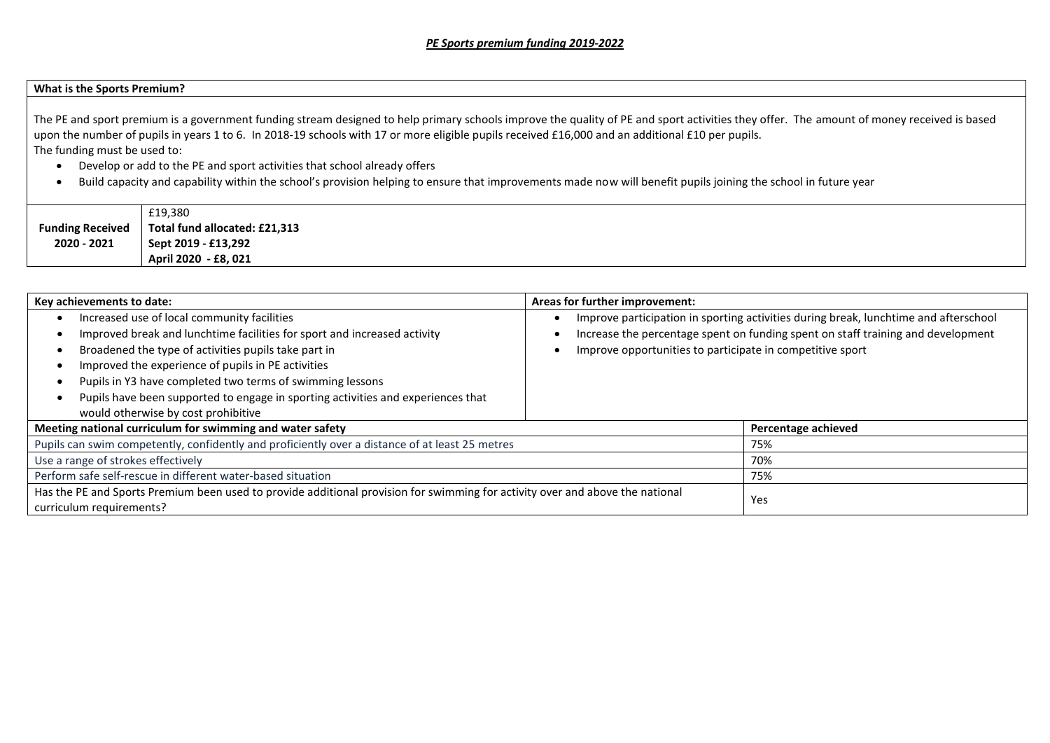## **What is the Sports Premium?**

The PE and sport premium is a government funding stream designed to help primary schools improve the quality of PE and sport activities they offer. The amount of money received is based upon the number of pupils in years 1 to 6. In 2018-19 schools with 17 or more eligible pupils received £16,000 and an additional £10 per pupils. The funding must be used to:

- Develop or add to the PE and sport activities that school already offers
- Build capacity and capability within the school's provision helping to ensure that improvements made now will benefit pupils joining the school in future year

|                         | £19,380                       |
|-------------------------|-------------------------------|
| <b>Funding Received</b> | Total fund allocated: £21,313 |
| 2020 - 2021             | Sept 2019 - £13,292           |
|                         | April 2020 - £8, 021          |

| Key achievements to date:                                                                                                                                                                                                                                                                                                                                                                                                     | Areas for further improvement:                                                                                                                                                                                                        |                     |
|-------------------------------------------------------------------------------------------------------------------------------------------------------------------------------------------------------------------------------------------------------------------------------------------------------------------------------------------------------------------------------------------------------------------------------|---------------------------------------------------------------------------------------------------------------------------------------------------------------------------------------------------------------------------------------|---------------------|
| Increased use of local community facilities<br>Improved break and lunchtime facilities for sport and increased activity<br>Broadened the type of activities pupils take part in<br>Improved the experience of pupils in PE activities<br>Pupils in Y3 have completed two terms of swimming lessons<br>Pupils have been supported to engage in sporting activities and experiences that<br>would otherwise by cost prohibitive | Improve participation in sporting activities during break, lunchtime and afterschool<br>Increase the percentage spent on funding spent on staff training and development<br>Improve opportunities to participate in competitive sport |                     |
| Meeting national curriculum for swimming and water safety                                                                                                                                                                                                                                                                                                                                                                     |                                                                                                                                                                                                                                       | Percentage achieved |
| Pupils can swim competently, confidently and proficiently over a distance of at least 25 metres                                                                                                                                                                                                                                                                                                                               |                                                                                                                                                                                                                                       | 75%                 |
| Use a range of strokes effectively                                                                                                                                                                                                                                                                                                                                                                                            |                                                                                                                                                                                                                                       | 70%                 |
| Perform safe self-rescue in different water-based situation                                                                                                                                                                                                                                                                                                                                                                   | 75%                                                                                                                                                                                                                                   |                     |
| Has the PE and Sports Premium been used to provide additional provision for swimming for activity over and above the national<br>curriculum requirements?                                                                                                                                                                                                                                                                     |                                                                                                                                                                                                                                       | Yes                 |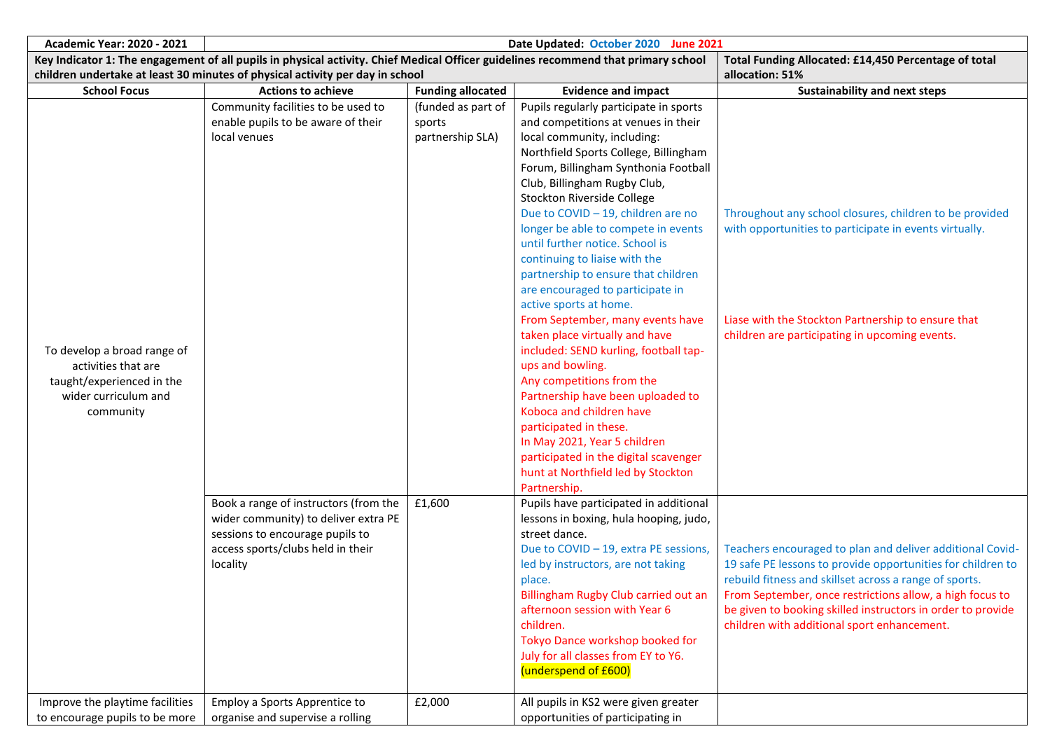| <b>Academic Year: 2020 - 2021</b>                                                                                    | Date Updated: October 2020 June 2021                                                                                                                              |                                                            |                                                                                                                                                                                                                                                                                                                                                                                                                                                                                                                                                                                                                                                                                                                                                                                                                                                                                                             |                                                                                                                                                                                                                                                                                                                                                              |  |
|----------------------------------------------------------------------------------------------------------------------|-------------------------------------------------------------------------------------------------------------------------------------------------------------------|------------------------------------------------------------|-------------------------------------------------------------------------------------------------------------------------------------------------------------------------------------------------------------------------------------------------------------------------------------------------------------------------------------------------------------------------------------------------------------------------------------------------------------------------------------------------------------------------------------------------------------------------------------------------------------------------------------------------------------------------------------------------------------------------------------------------------------------------------------------------------------------------------------------------------------------------------------------------------------|--------------------------------------------------------------------------------------------------------------------------------------------------------------------------------------------------------------------------------------------------------------------------------------------------------------------------------------------------------------|--|
|                                                                                                                      | Key Indicator 1: The engagement of all pupils in physical activity. Chief Medical Officer guidelines recommend that primary school                                |                                                            |                                                                                                                                                                                                                                                                                                                                                                                                                                                                                                                                                                                                                                                                                                                                                                                                                                                                                                             | Total Funding Allocated: £14,450 Percentage of total                                                                                                                                                                                                                                                                                                         |  |
|                                                                                                                      | children undertake at least 30 minutes of physical activity per day in school                                                                                     |                                                            |                                                                                                                                                                                                                                                                                                                                                                                                                                                                                                                                                                                                                                                                                                                                                                                                                                                                                                             | allocation: 51%                                                                                                                                                                                                                                                                                                                                              |  |
| <b>School Focus</b>                                                                                                  | <b>Actions to achieve</b>                                                                                                                                         | <b>Funding allocated</b>                                   | <b>Evidence and impact</b>                                                                                                                                                                                                                                                                                                                                                                                                                                                                                                                                                                                                                                                                                                                                                                                                                                                                                  | <b>Sustainability and next steps</b>                                                                                                                                                                                                                                                                                                                         |  |
| To develop a broad range of<br>activities that are<br>taught/experienced in the<br>wider curriculum and<br>community | Community facilities to be used to<br>enable pupils to be aware of their<br>local venues                                                                          | (funded as part of<br>sports<br>partnership SLA)<br>£1,600 | Pupils regularly participate in sports<br>and competitions at venues in their<br>local community, including:<br>Northfield Sports College, Billingham<br>Forum, Billingham Synthonia Football<br>Club, Billingham Rugby Club,<br>Stockton Riverside College<br>Due to COVID - 19, children are no<br>longer be able to compete in events<br>until further notice. School is<br>continuing to liaise with the<br>partnership to ensure that children<br>are encouraged to participate in<br>active sports at home.<br>From September, many events have<br>taken place virtually and have<br>included: SEND kurling, football tap-<br>ups and bowling.<br>Any competitions from the<br>Partnership have been uploaded to<br>Koboca and children have<br>participated in these.<br>In May 2021, Year 5 children<br>participated in the digital scavenger<br>hunt at Northfield led by Stockton<br>Partnership. | Throughout any school closures, children to be provided<br>with opportunities to participate in events virtually.<br>Liase with the Stockton Partnership to ensure that<br>children are participating in upcoming events.                                                                                                                                    |  |
|                                                                                                                      | Book a range of instructors (from the<br>wider community) to deliver extra PE<br>sessions to encourage pupils to<br>access sports/clubs held in their<br>locality |                                                            | Pupils have participated in additional<br>lessons in boxing, hula hooping, judo,<br>street dance.<br>Due to COVID - 19, extra PE sessions,<br>led by instructors, are not taking<br>place.<br>Billingham Rugby Club carried out an<br>afternoon session with Year 6<br>children.<br>Tokyo Dance workshop booked for<br>July for all classes from EY to Y6.<br>(underspend of £600)                                                                                                                                                                                                                                                                                                                                                                                                                                                                                                                          | Teachers encouraged to plan and deliver additional Covid-<br>19 safe PE lessons to provide opportunities for children to<br>rebuild fitness and skillset across a range of sports.<br>From September, once restrictions allow, a high focus to<br>be given to booking skilled instructors in order to provide<br>children with additional sport enhancement. |  |
| Improve the playtime facilities<br>to encourage pupils to be more                                                    | Employ a Sports Apprentice to<br>organise and supervise a rolling                                                                                                 | £2,000                                                     | All pupils in KS2 were given greater<br>opportunities of participating in                                                                                                                                                                                                                                                                                                                                                                                                                                                                                                                                                                                                                                                                                                                                                                                                                                   |                                                                                                                                                                                                                                                                                                                                                              |  |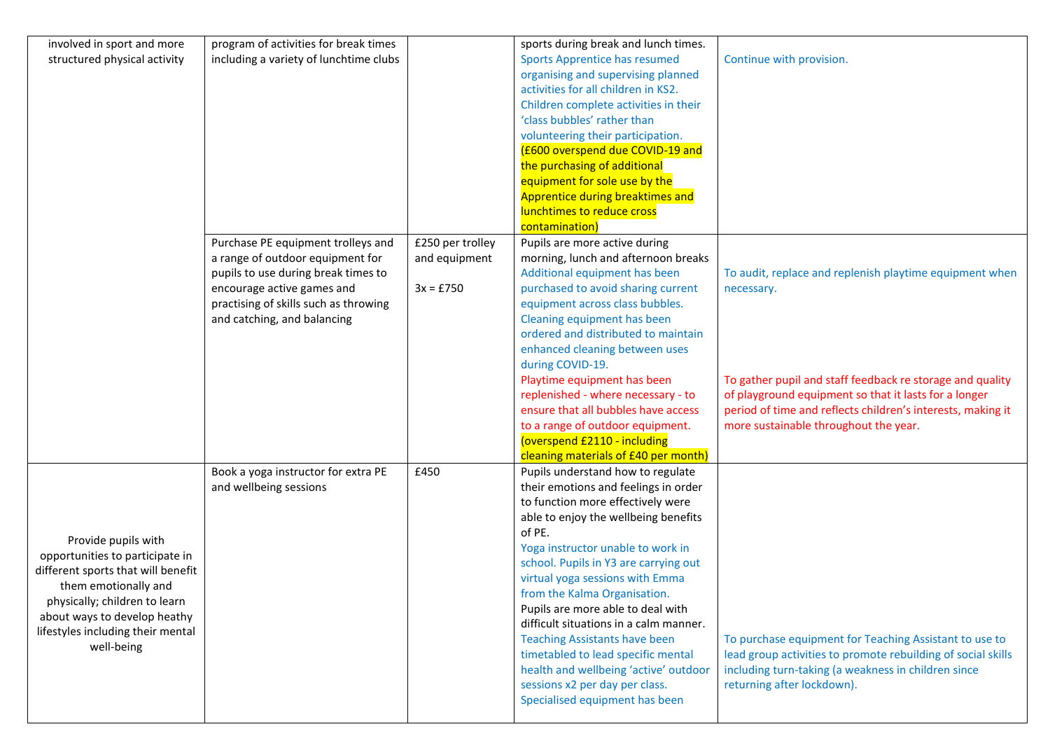| involved in sport and more         | program of activities for break times  |                  | sports during break and lunch times.                                        |                                                                                                                      |
|------------------------------------|----------------------------------------|------------------|-----------------------------------------------------------------------------|----------------------------------------------------------------------------------------------------------------------|
| structured physical activity       | including a variety of lunchtime clubs |                  | <b>Sports Apprentice has resumed</b>                                        | Continue with provision.                                                                                             |
|                                    |                                        |                  | organising and supervising planned                                          |                                                                                                                      |
|                                    |                                        |                  | activities for all children in KS2.                                         |                                                                                                                      |
|                                    |                                        |                  | Children complete activities in their                                       |                                                                                                                      |
|                                    |                                        |                  | 'class bubbles' rather than                                                 |                                                                                                                      |
|                                    |                                        |                  | volunteering their participation.                                           |                                                                                                                      |
|                                    |                                        |                  | (£600 overspend due COVID-19 and                                            |                                                                                                                      |
|                                    |                                        |                  | the purchasing of additional<br>equipment for sole use by the               |                                                                                                                      |
|                                    |                                        |                  | Apprentice during breaktimes and                                            |                                                                                                                      |
|                                    |                                        |                  | lunchtimes to reduce cross                                                  |                                                                                                                      |
|                                    |                                        |                  | contamination                                                               |                                                                                                                      |
|                                    | Purchase PE equipment trolleys and     | £250 per trolley | Pupils are more active during                                               |                                                                                                                      |
|                                    | a range of outdoor equipment for       | and equipment    | morning, lunch and afternoon breaks                                         |                                                                                                                      |
|                                    | pupils to use during break times to    |                  | Additional equipment has been                                               | To audit, replace and replenish playtime equipment when                                                              |
|                                    | encourage active games and             | $3x = £750$      | purchased to avoid sharing current                                          | necessary.                                                                                                           |
|                                    | practising of skills such as throwing  |                  | equipment across class bubbles.                                             |                                                                                                                      |
|                                    | and catching, and balancing            |                  | Cleaning equipment has been                                                 |                                                                                                                      |
|                                    |                                        |                  | ordered and distributed to maintain                                         |                                                                                                                      |
|                                    |                                        |                  | enhanced cleaning between uses                                              |                                                                                                                      |
|                                    |                                        |                  | during COVID-19.                                                            |                                                                                                                      |
|                                    |                                        |                  | Playtime equipment has been<br>replenished - where necessary - to           | To gather pupil and staff feedback re storage and quality                                                            |
|                                    |                                        |                  | ensure that all bubbles have access                                         | of playground equipment so that it lasts for a longer<br>period of time and reflects children's interests, making it |
|                                    |                                        |                  | to a range of outdoor equipment.                                            | more sustainable throughout the year.                                                                                |
|                                    |                                        |                  | (overspend £2110 - including                                                |                                                                                                                      |
|                                    |                                        |                  | cleaning materials of £40 per month)                                        |                                                                                                                      |
|                                    | Book a yoga instructor for extra PE    | £450             | Pupils understand how to regulate                                           |                                                                                                                      |
|                                    | and wellbeing sessions                 |                  | their emotions and feelings in order                                        |                                                                                                                      |
|                                    |                                        |                  | to function more effectively were                                           |                                                                                                                      |
|                                    |                                        |                  | able to enjoy the wellbeing benefits                                        |                                                                                                                      |
| Provide pupils with                |                                        |                  | of PE.                                                                      |                                                                                                                      |
| opportunities to participate in    |                                        |                  | Yoga instructor unable to work in                                           |                                                                                                                      |
| different sports that will benefit |                                        |                  | school. Pupils in Y3 are carrying out                                       |                                                                                                                      |
| them emotionally and               |                                        |                  | virtual yoga sessions with Emma                                             |                                                                                                                      |
| physically; children to learn      |                                        |                  | from the Kalma Organisation.                                                |                                                                                                                      |
| about ways to develop heathy       |                                        |                  | Pupils are more able to deal with<br>difficult situations in a calm manner. |                                                                                                                      |
| lifestyles including their mental  |                                        |                  | <b>Teaching Assistants have been</b>                                        | To purchase equipment for Teaching Assistant to use to                                                               |
| well-being                         |                                        |                  | timetabled to lead specific mental                                          | lead group activities to promote rebuilding of social skills                                                         |
|                                    |                                        |                  | health and wellbeing 'active' outdoor                                       | including turn-taking (a weakness in children since                                                                  |
|                                    |                                        |                  | sessions x2 per day per class.                                              | returning after lockdown).                                                                                           |
|                                    |                                        |                  | Specialised equipment has been                                              |                                                                                                                      |
|                                    |                                        |                  |                                                                             |                                                                                                                      |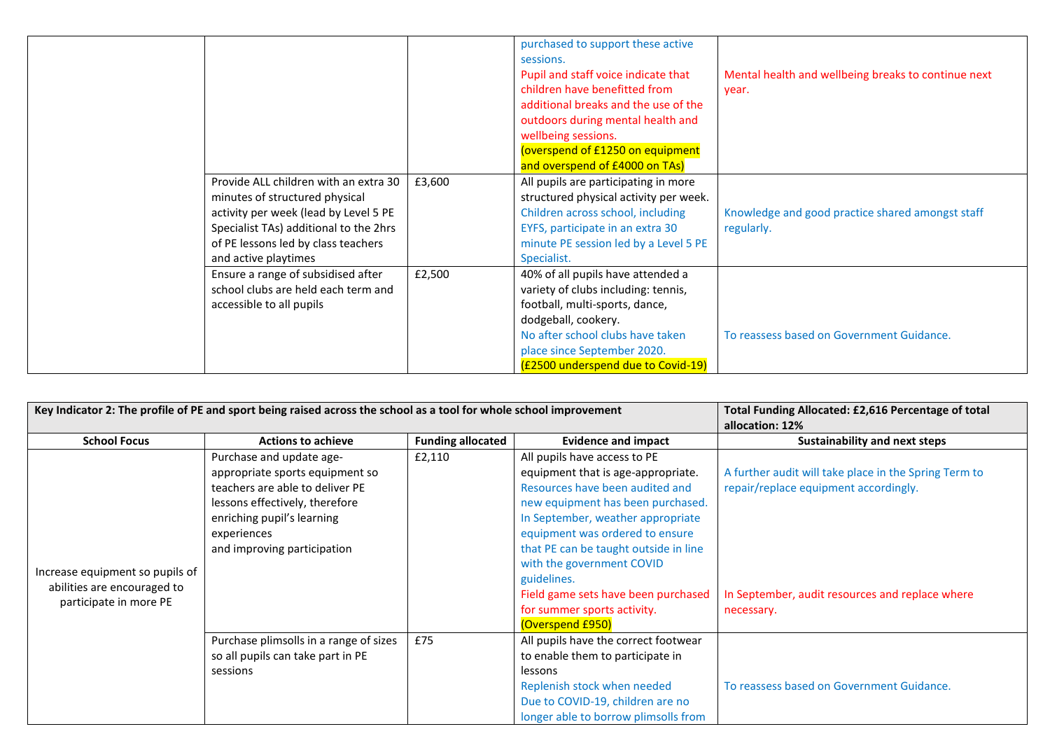|                                                                                                                                                                                                                           |        | purchased to support these active<br>sessions.<br>Pupil and staff voice indicate that<br>children have benefitted from<br>additional breaks and the use of the<br>outdoors during mental health and<br>wellbeing sessions.<br>(overspend of £1250 on equipment<br>and overspend of £4000 on TAs) | Mental health and wellbeing breaks to continue next<br>year.   |
|---------------------------------------------------------------------------------------------------------------------------------------------------------------------------------------------------------------------------|--------|--------------------------------------------------------------------------------------------------------------------------------------------------------------------------------------------------------------------------------------------------------------------------------------------------|----------------------------------------------------------------|
| Provide ALL children with an extra 30<br>minutes of structured physical<br>activity per week (lead by Level 5 PE<br>Specialist TAs) additional to the 2hrs<br>of PE lessons led by class teachers<br>and active playtimes | £3,600 | All pupils are participating in more<br>structured physical activity per week.<br>Children across school, including<br>EYFS, participate in an extra 30<br>minute PE session led by a Level 5 PE<br>Specialist.                                                                                  | Knowledge and good practice shared amongst staff<br>regularly. |
| Ensure a range of subsidised after<br>school clubs are held each term and<br>accessible to all pupils                                                                                                                     | £2,500 | 40% of all pupils have attended a<br>variety of clubs including: tennis,<br>football, multi-sports, dance,<br>dodgeball, cookery.<br>No after school clubs have taken<br>place since September 2020.<br>(£2500 underspend due to Covid-19)                                                       | To reassess based on Government Guidance.                      |

|                                                                                          | Key Indicator 2: The profile of PE and sport being raised across the school as a tool for whole school improvement                                                                                           | Total Funding Allocated: £2,616 Percentage of total<br>allocation: 12% |                                                                                                                                                                                                                                                                                                                                                                                                   |                                                                                                                                                                 |
|------------------------------------------------------------------------------------------|--------------------------------------------------------------------------------------------------------------------------------------------------------------------------------------------------------------|------------------------------------------------------------------------|---------------------------------------------------------------------------------------------------------------------------------------------------------------------------------------------------------------------------------------------------------------------------------------------------------------------------------------------------------------------------------------------------|-----------------------------------------------------------------------------------------------------------------------------------------------------------------|
| <b>School Focus</b>                                                                      | <b>Actions to achieve</b>                                                                                                                                                                                    | <b>Funding allocated</b>                                               | <b>Evidence and impact</b>                                                                                                                                                                                                                                                                                                                                                                        | Sustainability and next steps                                                                                                                                   |
| Increase equipment so pupils of<br>abilities are encouraged to<br>participate in more PE | Purchase and update age-<br>appropriate sports equipment so<br>teachers are able to deliver PE<br>lessons effectively, therefore<br>enriching pupil's learning<br>experiences<br>and improving participation | £2,110                                                                 | All pupils have access to PE<br>equipment that is age-appropriate.<br>Resources have been audited and<br>new equipment has been purchased.<br>In September, weather appropriate<br>equipment was ordered to ensure<br>that PE can be taught outside in line<br>with the government COVID<br>guidelines.<br>Field game sets have been purchased<br>for summer sports activity.<br>(Overspend £950) | A further audit will take place in the Spring Term to<br>repair/replace equipment accordingly.<br>In September, audit resources and replace where<br>necessary. |
|                                                                                          | Purchase plimsolls in a range of sizes<br>so all pupils can take part in PE<br>sessions                                                                                                                      | £75                                                                    | All pupils have the correct footwear<br>to enable them to participate in<br>lessons<br>Replenish stock when needed<br>Due to COVID-19, children are no<br>longer able to borrow plimsolls from                                                                                                                                                                                                    | To reassess based on Government Guidance.                                                                                                                       |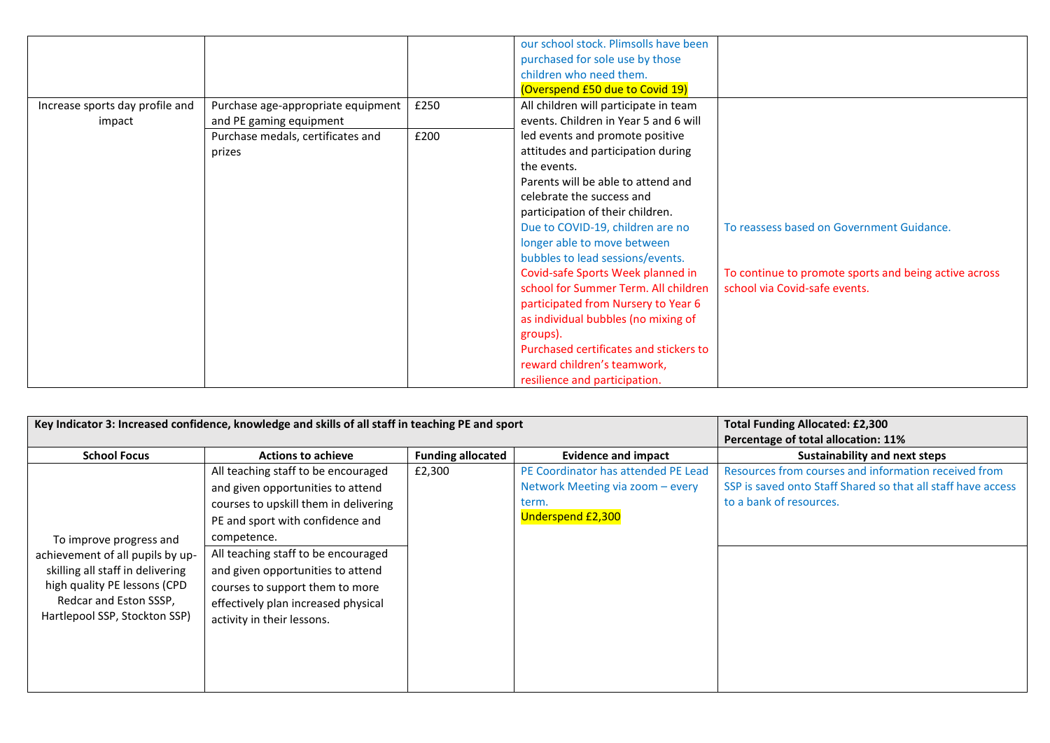|                                 |                                    |      | our school stock. Plimsolls have been  |                                                       |
|---------------------------------|------------------------------------|------|----------------------------------------|-------------------------------------------------------|
|                                 |                                    |      | purchased for sole use by those        |                                                       |
|                                 |                                    |      | children who need them.                |                                                       |
|                                 |                                    |      | (Overspend £50 due to Covid 19)        |                                                       |
| Increase sports day profile and | Purchase age-appropriate equipment | £250 | All children will participate in team  |                                                       |
| impact                          | and PE gaming equipment            |      | events. Children in Year 5 and 6 will  |                                                       |
|                                 | Purchase medals, certificates and  | £200 | led events and promote positive        |                                                       |
|                                 | prizes                             |      | attitudes and participation during     |                                                       |
|                                 |                                    |      | the events.                            |                                                       |
|                                 |                                    |      | Parents will be able to attend and     |                                                       |
|                                 |                                    |      | celebrate the success and              |                                                       |
|                                 |                                    |      | participation of their children.       |                                                       |
|                                 |                                    |      | Due to COVID-19, children are no       | To reassess based on Government Guidance.             |
|                                 |                                    |      | longer able to move between            |                                                       |
|                                 |                                    |      | bubbles to lead sessions/events.       |                                                       |
|                                 |                                    |      | Covid-safe Sports Week planned in      | To continue to promote sports and being active across |
|                                 |                                    |      | school for Summer Term. All children   | school via Covid-safe events.                         |
|                                 |                                    |      | participated from Nursery to Year 6    |                                                       |
|                                 |                                    |      | as individual bubbles (no mixing of    |                                                       |
|                                 |                                    |      | groups).                               |                                                       |
|                                 |                                    |      | Purchased certificates and stickers to |                                                       |
|                                 |                                    |      | reward children's teamwork,            |                                                       |
|                                 |                                    |      | resilience and participation.          |                                                       |

|                                  | Key Indicator 3: Increased confidence, knowledge and skills of all staff in teaching PE and sport | <b>Total Funding Allocated: £2,300</b><br>Percentage of total allocation: 11% |                                     |                                                              |
|----------------------------------|---------------------------------------------------------------------------------------------------|-------------------------------------------------------------------------------|-------------------------------------|--------------------------------------------------------------|
| <b>School Focus</b>              | <b>Actions to achieve</b>                                                                         | <b>Funding allocated</b>                                                      | <b>Evidence and impact</b>          | <b>Sustainability and next steps</b>                         |
|                                  | All teaching staff to be encouraged                                                               | £2,300                                                                        | PE Coordinator has attended PE Lead | Resources from courses and information received from         |
|                                  | and given opportunities to attend                                                                 |                                                                               | Network Meeting via zoom - every    | SSP is saved onto Staff Shared so that all staff have access |
|                                  | courses to upskill them in delivering                                                             |                                                                               | term.                               | to a bank of resources.                                      |
|                                  | PE and sport with confidence and                                                                  |                                                                               | <b>Underspend £2,300</b>            |                                                              |
| To improve progress and          | competence.                                                                                       |                                                                               |                                     |                                                              |
| achievement of all pupils by up- | All teaching staff to be encouraged                                                               |                                                                               |                                     |                                                              |
| skilling all staff in delivering | and given opportunities to attend                                                                 |                                                                               |                                     |                                                              |
| high quality PE lessons (CPD     | courses to support them to more                                                                   |                                                                               |                                     |                                                              |
| Redcar and Eston SSSP,           | effectively plan increased physical                                                               |                                                                               |                                     |                                                              |
| Hartlepool SSP, Stockton SSP)    | activity in their lessons.                                                                        |                                                                               |                                     |                                                              |
|                                  |                                                                                                   |                                                                               |                                     |                                                              |
|                                  |                                                                                                   |                                                                               |                                     |                                                              |
|                                  |                                                                                                   |                                                                               |                                     |                                                              |
|                                  |                                                                                                   |                                                                               |                                     |                                                              |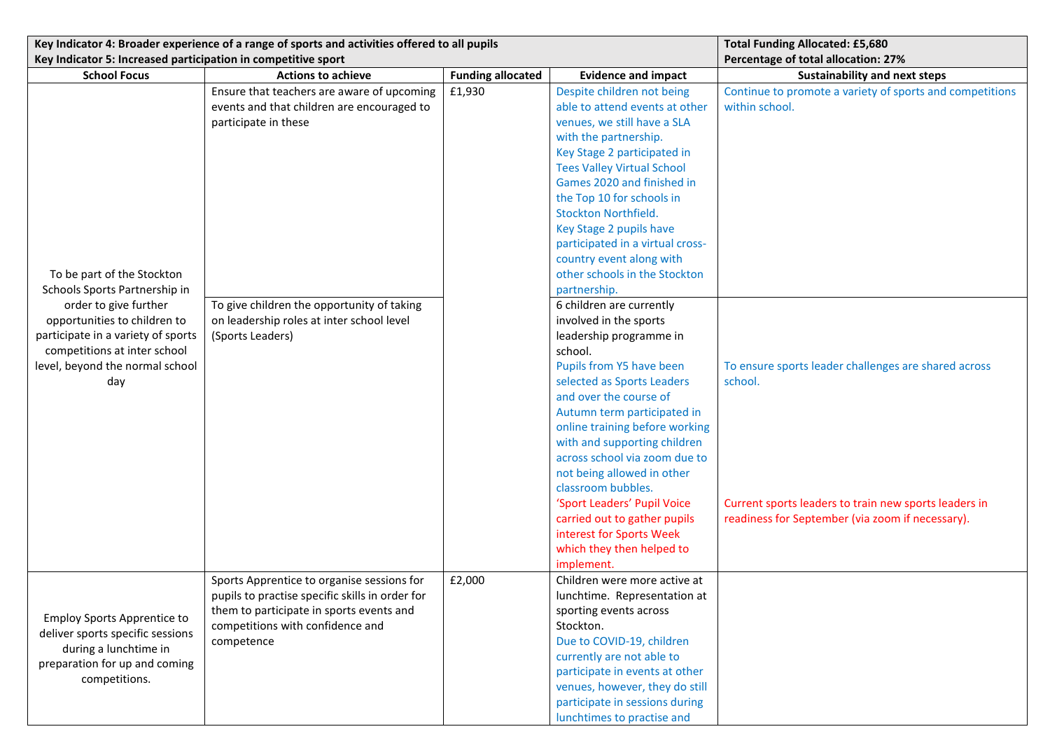|                                                               | Key Indicator 4: Broader experience of a range of sports and activities offered to all pupils |                          | <b>Total Funding Allocated: £5,680</b> |                                                          |
|---------------------------------------------------------------|-----------------------------------------------------------------------------------------------|--------------------------|----------------------------------------|----------------------------------------------------------|
| Key Indicator 5: Increased participation in competitive sport |                                                                                               |                          |                                        | Percentage of total allocation: 27%                      |
| <b>School Focus</b>                                           | <b>Actions to achieve</b>                                                                     | <b>Funding allocated</b> | <b>Evidence and impact</b>             | <b>Sustainability and next steps</b>                     |
|                                                               | Ensure that teachers are aware of upcoming                                                    | £1,930                   | Despite children not being             | Continue to promote a variety of sports and competitions |
|                                                               | events and that children are encouraged to                                                    |                          | able to attend events at other         | within school.                                           |
|                                                               | participate in these                                                                          |                          | venues, we still have a SLA            |                                                          |
|                                                               |                                                                                               |                          | with the partnership.                  |                                                          |
|                                                               |                                                                                               |                          | Key Stage 2 participated in            |                                                          |
|                                                               |                                                                                               |                          | <b>Tees Valley Virtual School</b>      |                                                          |
|                                                               |                                                                                               |                          | Games 2020 and finished in             |                                                          |
|                                                               |                                                                                               |                          | the Top 10 for schools in              |                                                          |
|                                                               |                                                                                               |                          | Stockton Northfield.                   |                                                          |
|                                                               |                                                                                               |                          | Key Stage 2 pupils have                |                                                          |
|                                                               |                                                                                               |                          | participated in a virtual cross-       |                                                          |
|                                                               |                                                                                               |                          | country event along with               |                                                          |
| To be part of the Stockton                                    |                                                                                               |                          | other schools in the Stockton          |                                                          |
| Schools Sports Partnership in                                 |                                                                                               |                          | partnership.                           |                                                          |
| order to give further                                         | To give children the opportunity of taking                                                    |                          | 6 children are currently               |                                                          |
| opportunities to children to                                  | on leadership roles at inter school level                                                     |                          | involved in the sports                 |                                                          |
| participate in a variety of sports                            | (Sports Leaders)                                                                              |                          | leadership programme in                |                                                          |
| competitions at inter school                                  |                                                                                               |                          | school.                                |                                                          |
| level, beyond the normal school                               |                                                                                               |                          | Pupils from Y5 have been               | To ensure sports leader challenges are shared across     |
| day                                                           |                                                                                               |                          | selected as Sports Leaders             | school.                                                  |
|                                                               |                                                                                               |                          | and over the course of                 |                                                          |
|                                                               |                                                                                               |                          | Autumn term participated in            |                                                          |
|                                                               |                                                                                               |                          | online training before working         |                                                          |
|                                                               |                                                                                               |                          | with and supporting children           |                                                          |
|                                                               |                                                                                               |                          | across school via zoom due to          |                                                          |
|                                                               |                                                                                               |                          | not being allowed in other             |                                                          |
|                                                               |                                                                                               |                          | classroom bubbles.                     |                                                          |
|                                                               |                                                                                               |                          | 'Sport Leaders' Pupil Voice            | Current sports leaders to train new sports leaders in    |
|                                                               |                                                                                               |                          | carried out to gather pupils           | readiness for September (via zoom if necessary).         |
|                                                               |                                                                                               |                          | interest for Sports Week               |                                                          |
|                                                               |                                                                                               |                          | which they then helped to              |                                                          |
|                                                               |                                                                                               |                          | implement.                             |                                                          |
|                                                               | Sports Apprentice to organise sessions for                                                    | £2,000                   | Children were more active at           |                                                          |
|                                                               | pupils to practise specific skills in order for                                               |                          | lunchtime. Representation at           |                                                          |
| <b>Employ Sports Apprentice to</b>                            | them to participate in sports events and                                                      |                          | sporting events across                 |                                                          |
| deliver sports specific sessions                              | competitions with confidence and                                                              |                          | Stockton.                              |                                                          |
| during a lunchtime in                                         | competence                                                                                    |                          | Due to COVID-19, children              |                                                          |
| preparation for up and coming                                 |                                                                                               |                          | currently are not able to              |                                                          |
| competitions.                                                 |                                                                                               |                          | participate in events at other         |                                                          |
|                                                               |                                                                                               |                          | venues, however, they do still         |                                                          |
|                                                               |                                                                                               |                          | participate in sessions during         |                                                          |
|                                                               |                                                                                               |                          | lunchtimes to practise and             |                                                          |